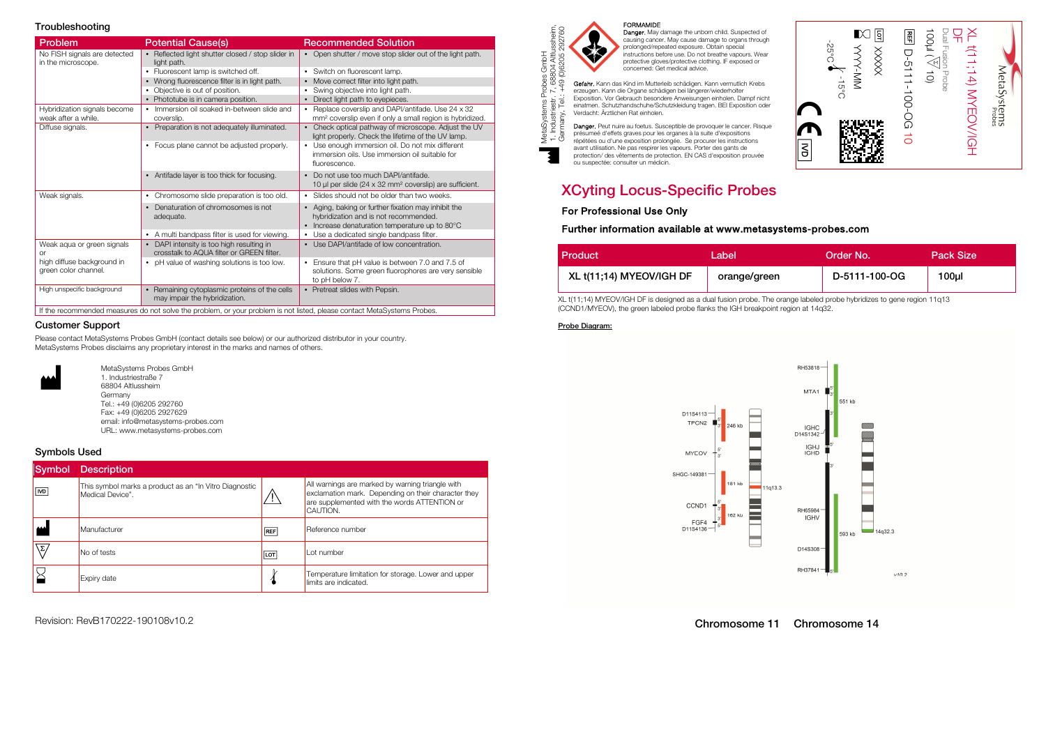### Troubleshooting

| Problem                                             | <b>Potential Cause(s)</b>                                                              | <b>Recommended Solution</b>                                                                                                                    |
|-----------------------------------------------------|----------------------------------------------------------------------------------------|------------------------------------------------------------------------------------------------------------------------------------------------|
| No FISH signals are detected<br>in the microscope.  | • Reflected light shutter closed / stop slider in<br>light path.                       | • Open shutter / move stop slider out of the light path.                                                                                       |
|                                                     | • Fluorescent lamp is switched off.                                                    | • Switch on fluorescent lamp.                                                                                                                  |
|                                                     | • Wrong fluorescence filter is in light path.                                          | • Move correct filter into light path.                                                                                                         |
|                                                     | • Objective is out of position.                                                        | Swing objective into light path.                                                                                                               |
|                                                     | • Phototube is in camera position.                                                     | Direct light path to eyepieces.<br>$\bullet$                                                                                                   |
| Hybridization signals become<br>weak after a while. | • Immersion oil soaked in-between slide and<br>coverslip.                              | Replace coverslip and DAPI/antifade. Use 24 x 32<br>mm <sup>2</sup> coverslip even if only a small region is hybridized.                       |
| Diffuse signals.                                    | • Preparation is not adequately illuminated.                                           | • Check optical pathway of microscope. Adjust the UV<br>light properly. Check the lifetime of the UV lamp.                                     |
|                                                     | • Focus plane cannot be adjusted properly.                                             | • Use enough immersion oil. Do not mix different<br>immersion oils. Use immersion oil suitable for<br>fluorescence.                            |
|                                                     | • Antifade layer is too thick for focusing.                                            | Do not use too much DAPI/antifade.<br>10 µl per slide ( $24 \times 32$ mm <sup>2</sup> coverslip) are sufficient.                              |
| Weak signals.                                       | • Chromosome slide preparation is too old.                                             | • Slides should not be older than two weeks.                                                                                                   |
|                                                     | • Denaturation of chromosomes is not<br>adequate.                                      | • Aging, baking or further fixation may inhibit the<br>hybridization and is not recommended.<br>• Increase denaturation temperature up to 80°C |
|                                                     | • A multi bandpass filter is used for viewing.                                         | Use a dedicated single bandpass filter.                                                                                                        |
| Weak aqua or green signals<br>0r                    | • DAPI intensity is too high resulting in<br>crosstalk to AQUA filter or GREEN filter. | • Use DAPI/antifade of low concentration.                                                                                                      |
| high diffuse background in<br>green color channel.  | • pH value of washing solutions is too low.                                            | Ensure that pH value is between 7.0 and 7.5 of<br>$\bullet$<br>solutions. Some green fluorophores are very sensible<br>to pH below 7.          |
| High unspecific background                          | • Remaining cytoplasmic proteins of the cells<br>may impair the hybridization.         | • Pretreat slides with Pepsin.                                                                                                                 |

### Customer Support

Please contact MetaSystems Probes GmbH (contact details see below) or our authorized distributor in your country. MetaSystems Probes disclaims any proprietary interest in the marks and names of others.



MetaSystems Probes GmbH<br>1. Industriestraße 7<br>68804 Altlussheim Germany Tel.: +49 (0)6205 292760 Fax: +49 (0)6205 2927629

 email: info@metasystems-probes.com URL: www.metasystems-probes.com

### Symbols Used

| Symbol | <b>Description</b>                                                         |            |                                                                                                                                                                     |
|--------|----------------------------------------------------------------------------|------------|---------------------------------------------------------------------------------------------------------------------------------------------------------------------|
| ∣∣ल्ज  | This symbol marks a product as an "In Vitro Diagnostic<br>Medical Device". |            | All warnings are marked by warning triangle with<br>exclamation mark. Depending on their character they<br>are supplemented with the words ATTENTION or<br>CAUTION. |
|        | Manufacturer                                                               | <b>REF</b> | Reference number                                                                                                                                                    |
| \Σ/    | No of tests                                                                | <b>LOT</b> | I ot number                                                                                                                                                         |
|        | Expiry date                                                                |            | Temperature limitation for storage. Lower and upper<br>limits are indicated.                                                                                        |

Revision: RevB170222-190108v10.2



MetaSystems Probes GmbH 1. Industriestr. 7, 68804 Altlussheim,

**FORMANDIE<br>
FORMANDIE<br>
Compare.** May damage the unborn child. Suspected of<br>
causing cancer. May cause damage to organs through<br>
protonged/repeated exposure. Obtain special<br>
instructions before use. Do not breathe vapours.

répétées ou d'une exposition prolongée. Se procurer les instructions avant utilisation. Ne pas respirer les vapeurs. Porter des gants de protection/ des vêtements de protection. EN CAS d'exposition prouvée ou suspectée: consulter un médicin.

# **XCyting Locus-Specific Probes**

# For Professional Use Only For Professional Use Only Further information available at www.metasystems-probes.com

| Product                  | _abel        | Order No.     | <b>Pack Size</b> |
|--------------------------|--------------|---------------|------------------|
| XL t(11;14) MYEOV/IGH DF | orange/green | D-5111-100-OG | 100 <sub>µ</sub> |

XL t(11;14) MYEOV/IGH DF is designed as a dual fusion probe. The orange labeled probe hybridizes to gene region 11q13 (CCND1/MYEOV), the green labeled probe flanks the IGH breakpoint region at 14q32.

### Probe Diagram:



Chromosome 11 Chromosome 14